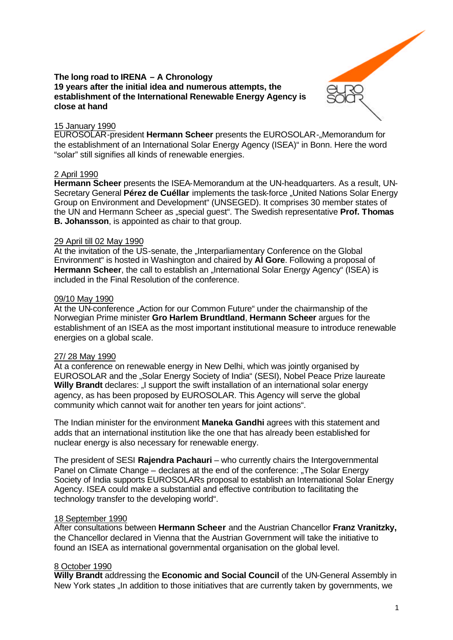

## **The long road to IRENA – A Chronology 19 years after the initial idea and numerous attempts, the establishment of the International Renewable Energy Agency is close at hand**

## 15 January 1990

**EUROSOLAR-president Hermann Scheer** presents the EUROSOLAR-"Memorandum for the establishment of an International Solar Energy Agency (ISEA)" in Bonn. Here the word "solar" still signifies all kinds of renewable energies.

# 2 April 1990

**Hermann Scheer** presents the ISEA-Memorandum at the UN-headquarters. As a result, UN-Secretary General **Pérez de Cuéllar** implements the task-force "United Nations Solar Energy Group on Environment and Development" (UNSEGED). It comprises 30 member states of the UN and Hermann Scheer as "special guest". The Swedish representative **Prof. Thomas B. Johansson**, is appointed as chair to that group.

#### 29 April till 02 May 1990

At the invitation of the US-senate, the "Interparliamentary Conference on the Global Environment" is hosted in Washington and chaired by **Al Gore**. Following a proposal of Hermann Scheer, the call to establish an "International Solar Energy Agency" (ISEA) is included in the Final Resolution of the conference.

#### 09/10 May 1990

At the UN-conference "Action for our Common Future" under the chairmanship of the Norwegian Prime minister **Gro Harlem Brundtland**, **Hermann Scheer** argues for the establishment of an ISEA as the most important institutional measure to introduce renewable energies on a global scale.

# 27/ 28 May 1990

At a conference on renewable energy in New Delhi, which was jointly organised by EUROSOLAR and the "Solar Energy Society of India" (SESI), Nobel Peace Prize laureate **Willy Brandt** declares: "I support the swift installation of an international solar energy agency, as has been proposed by EUROSOLAR. This Agency will serve the global community which cannot wait for another ten years for joint actions".

The Indian minister for the environment **Maneka Gandhi** agrees with this statement and adds that an international institution like the one that has already been established for nuclear energy is also necessary for renewable energy.

The president of SESI **Rajendra Pachauri** – who currently chairs the Intergovernmental Panel on Climate Change – declares at the end of the conference: ..The Solar Energy Society of India supports EUROSOLARs proposal to establish an International Solar Energy Agency. ISEA could make a substantial and effective contribution to facilitating the technology transfer to the developing world".

# 18 September 1990

After consultations between **Hermann Scheer** and the Austrian Chancellor **Franz Vranitzky,** the Chancellor declared in Vienna that the Austrian Government will take the initiative to found an ISEA as international governmental organisation on the global level.

# 8 October 1990

**Willy Brandt** addressing the **Economic and Social Council** of the UN-General Assembly in New York states "In addition to those initiatives that are currently taken by governments, we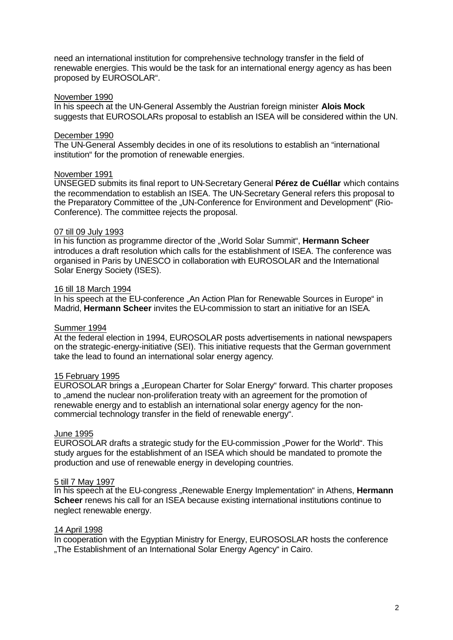need an international institution for comprehensive technology transfer in the field of renewable energies. This would be the task for an international energy agency as has been proposed by EUROSOLAR".

### November 1990

In his speech at the UN-General Assembly the Austrian foreign minister **Alois Mock** suggests that EUROSOLARs proposal to establish an ISEA will be considered within the UN.

### December 1990

The UN-General Assembly decides in one of its resolutions to establish an "international institution" for the promotion of renewable energies.

### November 1991

UNSEGED submits its final report to UN-Secretary General **Pérez de Cuéllar** which contains the recommendation to establish an ISEA. The UN-Secretary General refers this proposal to the Preparatory Committee of the "UN-Conference for Environment and Development" (Rio-Conference). The committee rejects the proposal.

#### 07 till 09 July 1993

In his function as programme director of the "World Solar Summit", **Hermann Scheer** introduces a draft resolution which calls for the establishment of ISEA. The conference was organised in Paris by UNESCO in collaboration with EUROSOLAR and the International Solar Energy Society (ISES).

#### 16 till 18 March 1994

In his speech at the EU-conference "An Action Plan for Renewable Sources in Europe" in Madrid, **Hermann Scheer** invites the EU-commission to start an initiative for an ISEA.

#### Summer 1994

At the federal election in 1994, EUROSOLAR posts advertisements in national newspapers on the strategic-energy-initiative (SEI). This initiative requests that the German government take the lead to found an international solar energy agency.

# 15 February 1995

EUROSOLAR brings a "European Charter for Solar Energy" forward. This charter proposes to "amend the nuclear non-proliferation treaty with an agreement for the promotion of renewable energy and to establish an international solar energy agency for the noncommercial technology transfer in the field of renewable energy".

#### June 1995

EUROSOLAR drafts a strategic study for the EU-commission "Power for the World". This study argues for the establishment of an ISEA which should be mandated to promote the production and use of renewable energy in developing countries.

### 5 till 7 May 1997

In his speech at the EU-congress "Renewable Energy Implementation" in Athens, Hermann **Scheer** renews his call for an ISEA because existing international institutions continue to neglect renewable energy.

#### 14 April 1998

In cooperation with the Egyptian Ministry for Energy, EUROSOSLAR hosts the conference "The Establishment of an International Solar Energy Agency" in Cairo.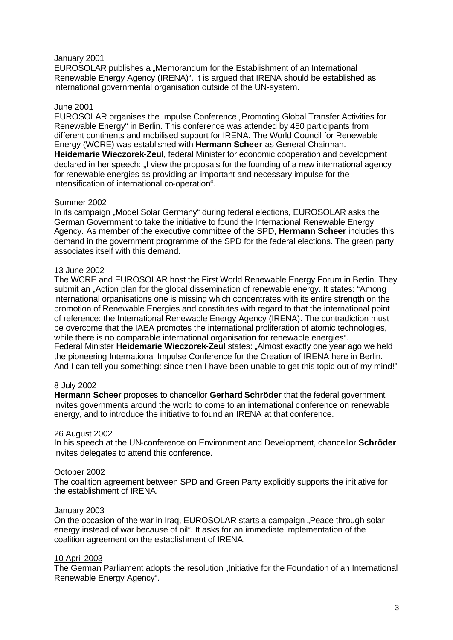## January 2001

EUROSOLAR publishes a "Memorandum for the Establishment of an International Renewable Energy Agency (IRENA)". It is argued that IRENA should be established as international governmental organisation outside of the UN-system.

# June 2001

EUROSOLAR organises the Impulse Conference "Promoting Global Transfer Activities for Renewable Energy" in Berlin. This conference was attended by 450 participants from different continents and mobilised support for IRENA. The World Council for Renewable Energy (WCRE) was established with **Hermann Scheer** as General Chairman. **Heidemarie Wieczorek-Zeul**, federal Minister for economic cooperation and development declared in her speech: "I view the proposals for the founding of a new international agency for renewable energies as providing an important and necessary impulse for the intensification of international co-operation".

#### Summer 2002

In its campaign ..Model Solar Germany" during federal elections, EUROSOLAR asks the German Government to take the initiative to found the International Renewable Energy Agency. As member of the executive committee of the SPD, **Hermann Scheer** includes this demand in the government programme of the SPD for the federal elections. The green party associates itself with this demand.

### 13 June 2002

The WCRE and EUROSOLAR host the First World Renewable Energy Forum in Berlin. They submit an "Action plan for the global dissemination of renewable energy. It states: "Among international organisations one is missing which concentrates with its entire strength on the promotion of Renewable Energies and constitutes with regard to that the international point of reference: the International Renewable Energy Agency (IRENA). The contradiction must be overcome that the IAEA promotes the international proliferation of atomic technologies, while there is no comparable international organisation for renewable energies". Federal Minister **Heidemarie Wieczorek-Zeul** states: "Almost exactly one year ago we held the pioneering International Impulse Conference for the Creation of IRENA here in Berlin. And I can tell you something: since then I have been unable to get this topic out of my mind!"

#### 8 July 2002

**Hermann Scheer** proposes to chancellor **Gerhard Schröder** that the federal government invites governments around the world to come to an international conference on renewable energy, and to introduce the initiative to found an IRENA at that conference.

#### 26 August 2002

In his speech at the UN-conference on Environment and Development, chancellor **Schröder** invites delegates to attend this conference.

### October 2002

The coalition agreement between SPD and Green Party explicitly supports the initiative for the establishment of IRENA.

#### January 2003

On the occasion of the war in Iraq, EUROSOLAR starts a campaign "Peace through solar energy instead of war because of oil". It asks for an immediate implementation of the coalition agreement on the establishment of IRENA.

#### 10 April 2003

The German Parliament adopts the resolution "Initiative for the Foundation of an International Renewable Energy Agency".